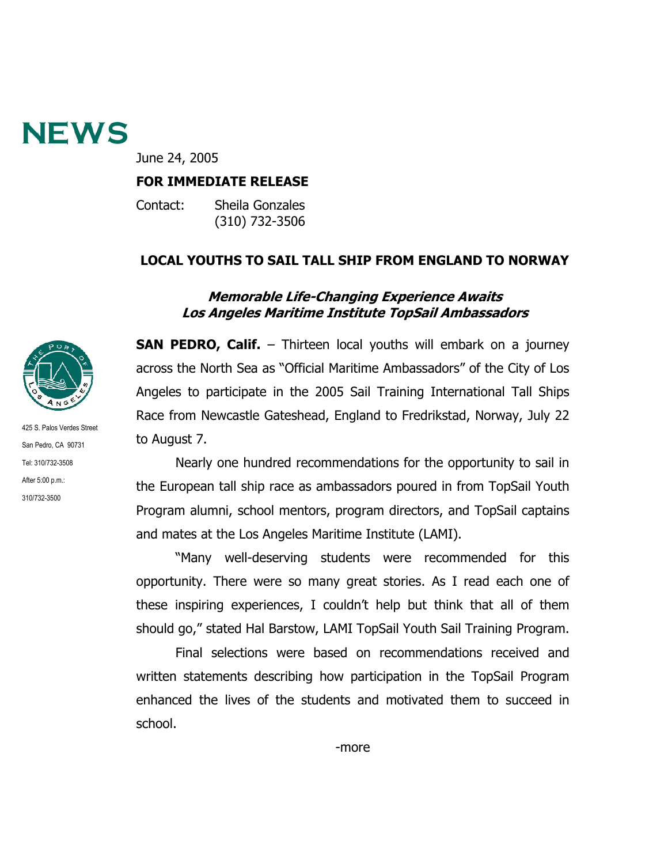

June 24, 2005

#### **FOR IMMEDIATE RELEASE**

Contact: Sheila Gonzales (310) 732-3506

### **LOCAL YOUTHS TO SAIL TALL SHIP FROM ENGLAND TO NORWAY**

#### **Memorable Life-Changing Experience Awaits Los Angeles Maritime Institute TopSail Ambassadors**



425 S. Palos Verdes Street San Pedro, CA 90731 Tel: 310/732-3508 After 5:00 p.m.: 310/732-3500

**SAN PEDRO, Calif.** – Thirteen local youths will embark on a journey across the North Sea as "Official Maritime Ambassadors" of the City of Los Angeles to participate in the 2005 Sail Training International Tall Ships Race from Newcastle Gateshead, England to Fredrikstad, Norway, July 22 to August 7.

 Nearly one hundred recommendations for the opportunity to sail in the European tall ship race as ambassadors poured in from TopSail Youth Program alumni, school mentors, program directors, and TopSail captains and mates at the Los Angeles Maritime Institute (LAMI).

"Many well-deserving students were recommended for this opportunity. There were so many great stories. As I read each one of these inspiring experiences, I couldn't help but think that all of them should go," stated Hal Barstow, LAMI TopSail Youth Sail Training Program.

Final selections were based on recommendations received and written statements describing how participation in the TopSail Program enhanced the lives of the students and motivated them to succeed in school.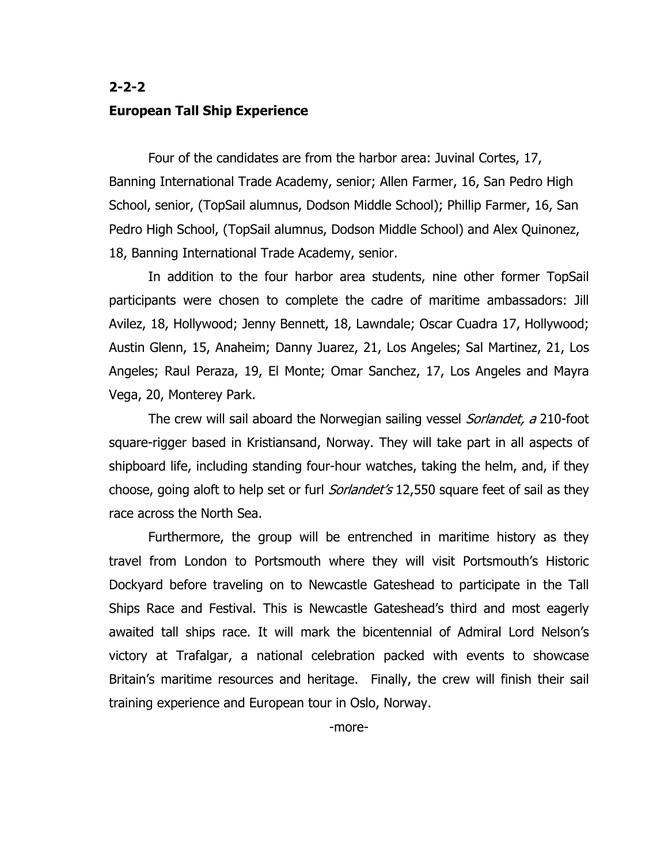## **2-2-2 European Tall Ship Experience**

Four of the candidates are from the harbor area: Juvinal Cortes, 17, Banning International Trade Academy, senior; Allen Farmer, 16, San Pedro High School, senior, (TopSail alumnus, Dodson Middle School); Phillip Farmer, 16, San Pedro High School, (TopSail alumnus, Dodson Middle School) and Alex Quinonez, 18, Banning International Trade Academy, senior.

In addition to the four harbor area students, nine other former TopSail participants were chosen to complete the cadre of maritime ambassadors: Jill Avilez, 18, Hollywood; Jenny Bennett, 18, Lawndale; Oscar Cuadra 17, Hollywood; Austin Glenn, 15, Anaheim; Danny Juarez, 21, Los Angeles; Sal Martinez, 21, Los Angeles; Raul Peraza, 19, El Monte; Omar Sanchez, 17, Los Angeles and Mayra Vega, 20, Monterey Park.

The crew will sail aboard the Norwegian sailing vessel *Sorlandet, a* 210-foot square-rigger based in Kristiansand, Norway. They will take part in all aspects of shipboard life, including standing four-hour watches, taking the helm, and, if they choose, going aloft to help set or furl *Sorlandet's* 12,550 square feet of sail as they race across the North Sea.

Furthermore, the group will be entrenched in maritime history as they travel from London to Portsmouth where they will visit Portsmouth's Historic Dockyard before traveling on to Newcastle Gateshead to participate in the Tall Ships Race and Festival. This is Newcastle Gateshead's third and most eagerly awaited tall ships race. It will mark the bicentennial of Admiral Lord Nelson's victory at Trafalgar, a national celebration packed with events to showcase Britain's maritime resources and heritage. Finally, the crew will finish their sail training experience and European tour in Oslo, Norway.

-more-